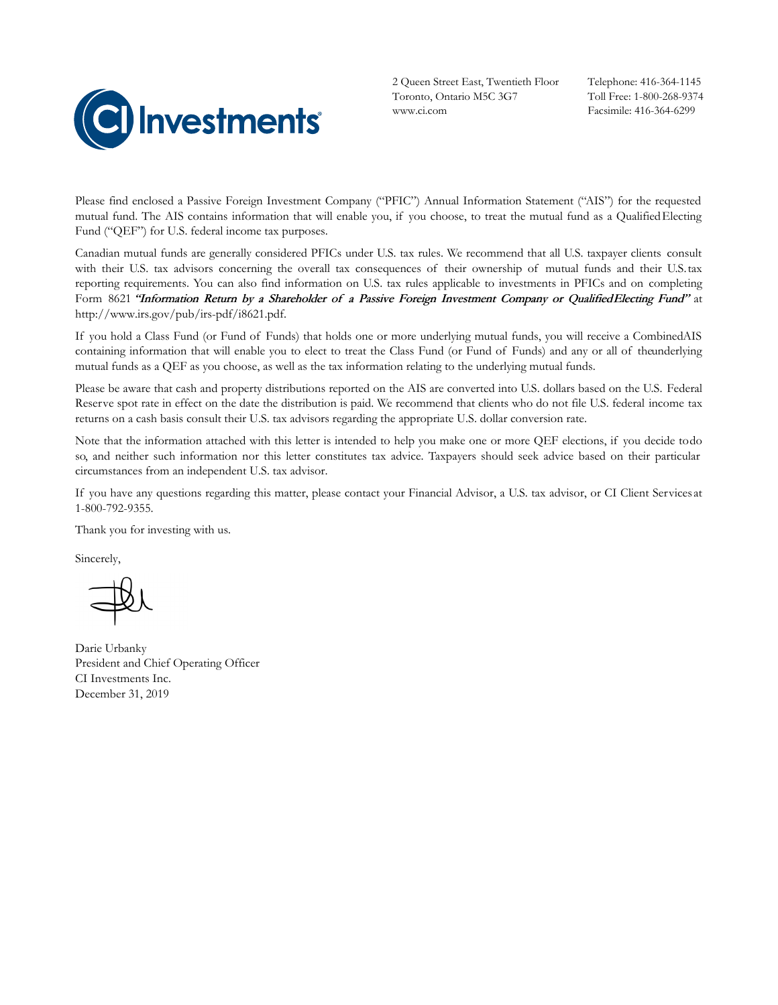

2 Queen Street East, Twentieth Floor Toronto, Ontario M5C 3G7 www.ci.com

Telephone: 416-364-1145 Toll Free: 1-800-268-9374 Facsimile: 416-364-6299

Please find enclosed a Passive Foreign Investment Company ("PFIC") Annual Information Statement ("AIS") for the requested mutual fund. The AIS contains information that will enable you, if you choose, to treat the mutual fund as a QualifiedElecting Fund ("QEF") for U.S. federal income tax purposes.

Canadian mutual funds are generally considered PFICs under U.S. tax rules. We recommend that all U.S. taxpayer clients consult with their U.S. tax advisors concerning the overall tax consequences of their ownership of mutual funds and their U.S.tax reporting requirements. You can also find information on U.S. tax rules applicable to investments in PFICs and on completing Form 8621 "Information Return by a Shareholder of a Passive Foreign Investment Company or Qualified Electing Fund" at http://www.irs.gov/pub/irs-pdf/i8621.pdf.

If you hold a Class Fund (or Fund of Funds) that holds one or more underlying mutual funds, you will receive a CombinedAIS containing information that will enable you to elect to treat the Class Fund (or Fund of Funds) and any or all of theunderlying mutual funds as a QEF as you choose, as well as the tax information relating to the underlying mutual funds.

Please be aware that cash and property distributions reported on the AIS are converted into U.S. dollars based on the U.S. Federal Reserve spot rate in effect on the date the distribution is paid. We recommend that clients who do not file U.S. federal income tax returns on a cash basis consult their U.S. tax advisors regarding the appropriate U.S. dollar conversion rate.

Note that the information attached with this letter is intended to help you make one or more QEF elections, if you decide todo so, and neither such information nor this letter constitutes tax advice. Taxpayers should seek advice based on their particular circumstances from an independent U.S. tax advisor.

If you have any questions regarding this matter, please contact your Financial Advisor, a U.S. tax advisor, or CI Client Services at 1-800-792-9355.

Thank you for investing with us.

Sincerely,

Darie Urbanky President and Chief Operating Officer CI Investments Inc. December 31, 2019